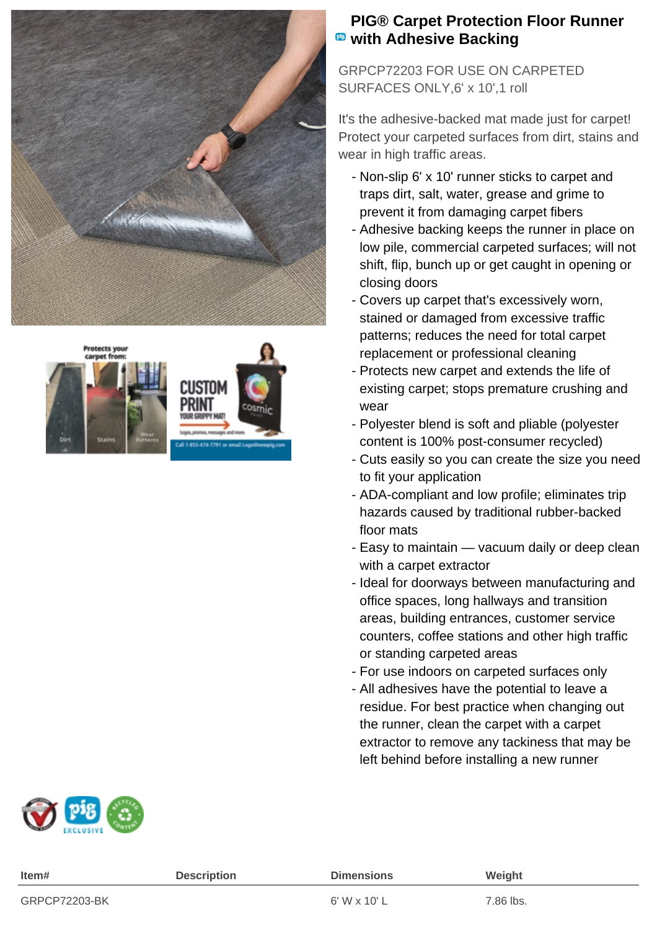



## **PIG® Carpet Protection Floor Runner <b>***w* with Adhesive Backing

GRPCP72203 FOR USE ON CARPETED SURFACES ONLY,6' x 10',1 roll

It's the adhesive-backed mat made just for carpet! Protect your carpeted surfaces from dirt, stains and wear in high traffic areas.

- Non-slip 6' x 10' runner sticks to carpet and traps dirt, salt, water, grease and grime to prevent it from damaging carpet fibers
- Adhesive backing keeps the runner in place on low pile, commercial carpeted surfaces; will not shift, flip, bunch up or get caught in opening or closing doors
- Covers up carpet that's excessively worn, stained or damaged from excessive traffic patterns; reduces the need for total carpet replacement or professional cleaning
- Protects new carpet and extends the life of existing carpet; stops premature crushing and wear
- Polyester blend is soft and pliable (polyester content is 100% post-consumer recycled)
- Cuts easily so you can create the size you need to fit your application
- ADA-compliant and low profile; eliminates trip hazards caused by traditional rubber-backed floor mats
- Easy to maintain vacuum daily or deep clean with a carpet extractor
- Ideal for doorways between manufacturing and office spaces, long hallways and transition areas, building entrances, customer service counters, coffee stations and other high traffic or standing carpeted areas
- For use indoors on carpeted surfaces only
- All adhesives have the potential to leave a residue. For best practice when changing out the runner, clean the carpet with a carpet extractor to remove any tackiness that may be left behind before installing a new runner



| Item#         | <b>Description</b> | <b>Dimensions</b> | Weight    |
|---------------|--------------------|-------------------|-----------|
| GRPCP72203-BK |                    | 6' W x 10' L      | 7.86 lbs. |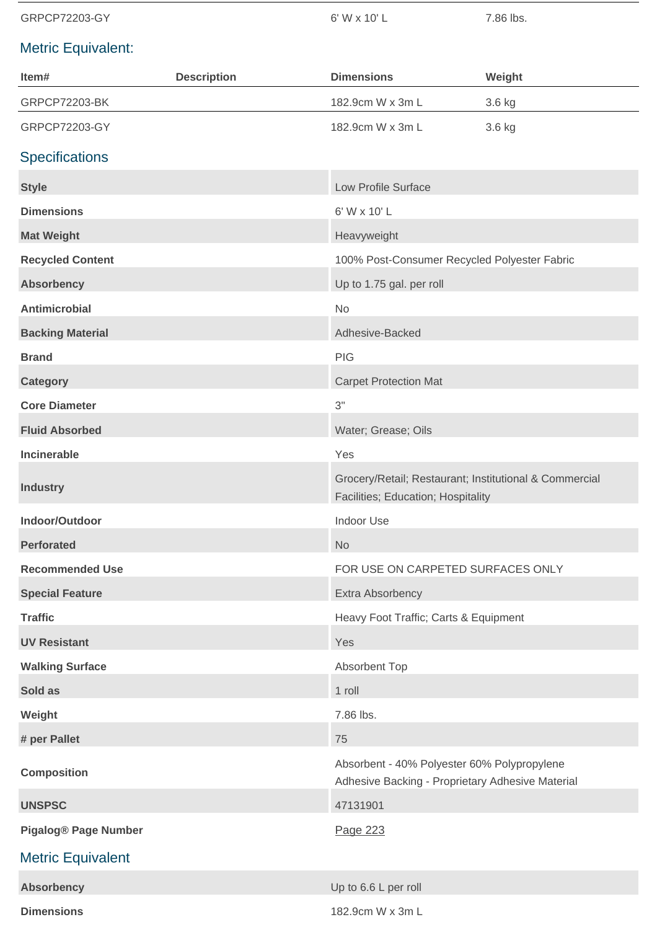GRPCP72203-GY 6' W x 10' L 7.86 lbs.

—

## Metric Equivalent:

| Item#                       | <b>Description</b> | <b>Dimensions</b>                                                                               | Weight |
|-----------------------------|--------------------|-------------------------------------------------------------------------------------------------|--------|
| <b>GRPCP72203-BK</b>        |                    | 182.9cm W x 3m L                                                                                | 3.6 kg |
| GRPCP72203-GY               |                    | 182.9cm W x 3m L                                                                                | 3.6 kg |
| <b>Specifications</b>       |                    |                                                                                                 |        |
| <b>Style</b>                |                    | Low Profile Surface                                                                             |        |
| <b>Dimensions</b>           |                    | 6' W x 10' L                                                                                    |        |
| <b>Mat Weight</b>           |                    | Heavyweight                                                                                     |        |
| <b>Recycled Content</b>     |                    | 100% Post-Consumer Recycled Polyester Fabric                                                    |        |
| <b>Absorbency</b>           |                    | Up to 1.75 gal. per roll                                                                        |        |
| <b>Antimicrobial</b>        |                    | <b>No</b>                                                                                       |        |
| <b>Backing Material</b>     |                    | Adhesive-Backed                                                                                 |        |
| <b>Brand</b>                |                    | PIG                                                                                             |        |
| <b>Category</b>             |                    | <b>Carpet Protection Mat</b>                                                                    |        |
| <b>Core Diameter</b>        |                    | 3"                                                                                              |        |
| <b>Fluid Absorbed</b>       |                    | Water; Grease; Oils                                                                             |        |
| Incinerable                 |                    | Yes                                                                                             |        |
| <b>Industry</b>             |                    | Grocery/Retail; Restaurant; Institutional & Commercial<br>Facilities; Education; Hospitality    |        |
| Indoor/Outdoor              |                    | Indoor Use                                                                                      |        |
| <b>Perforated</b>           |                    | <b>No</b>                                                                                       |        |
| <b>Recommended Use</b>      |                    | FOR USE ON CARPETED SURFACES ONLY                                                               |        |
| <b>Special Feature</b>      |                    | Extra Absorbency                                                                                |        |
| <b>Traffic</b>              |                    | Heavy Foot Traffic; Carts & Equipment                                                           |        |
| <b>UV Resistant</b>         |                    | Yes                                                                                             |        |
| <b>Walking Surface</b>      |                    | Absorbent Top                                                                                   |        |
| Sold as                     |                    | 1 roll                                                                                          |        |
| Weight                      |                    | 7.86 lbs.                                                                                       |        |
| # per Pallet                |                    | 75                                                                                              |        |
| <b>Composition</b>          |                    | Absorbent - 40% Polyester 60% Polypropylene<br>Adhesive Backing - Proprietary Adhesive Material |        |
| <b>UNSPSC</b>               |                    | 47131901                                                                                        |        |
| <b>Pigalog® Page Number</b> |                    | Page 223                                                                                        |        |
| <b>Metric Equivalent</b>    |                    |                                                                                                 |        |
| <b>Absorbency</b>           |                    | Up to 6.6 L per roll                                                                            |        |
| <b>Dimensions</b>           |                    | 182.9cm W x 3m L                                                                                |        |